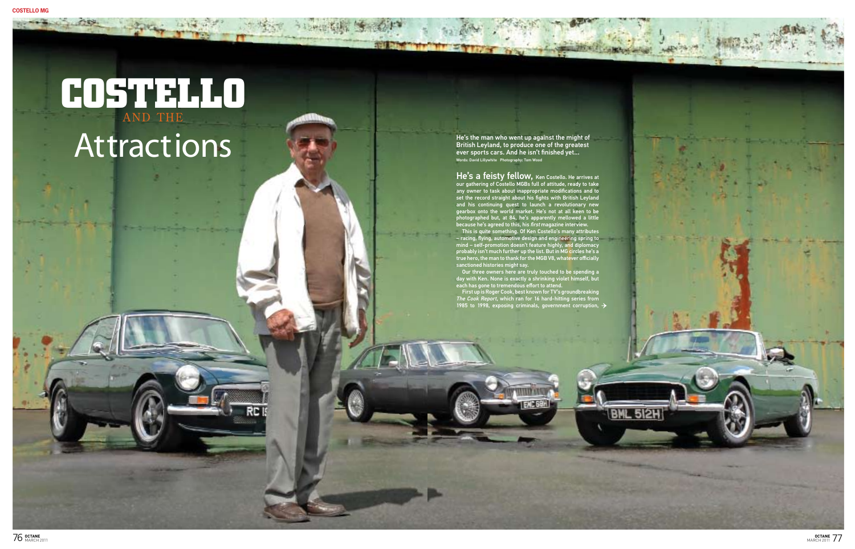# **COSTELLO** AND THE Attractions

**Report Following** 



This is quite something. Of Ken Costello's many attributes – racing, flying, automotive design and engineering spring to mind – self-promotion doesn't feature highly, and diplomacy probably isn't much further up the list. But in MG circles he's a true hero, the man to thank for the MGB V8, whatever officially sanctioned histories might say.

Our three owners here are truly touched to be spending a day with Ken. None is exactly a shrinking violet himself, but each has gone to tremendous effort to attend.

First up is Roger Cook, best known for TV's groundbreaking The Cook Report, which ran for 16 hard-hitting series from 1985 to 1998, exposing criminals, government corruption,

He's the man who went up against the might of British Leyland, to produce one of the greatest ever sports cars. And he isn't finished yet... Words: David Lillywhite Photography: Tom Wood

He's a feisty fellow, Ken Costello. He arrives at our gathering of Costello MGBs full of attitude, ready to take any owner to task about inappropriate modifications and to set the record straight about his fights with British Leyland and his continuing quest to launch a revolutionary new gearbox onto the world market. He's not at all keen to be photographed but, at 84, he's apparently mellowed a little because he's agreed to this, his *first* magazine interview.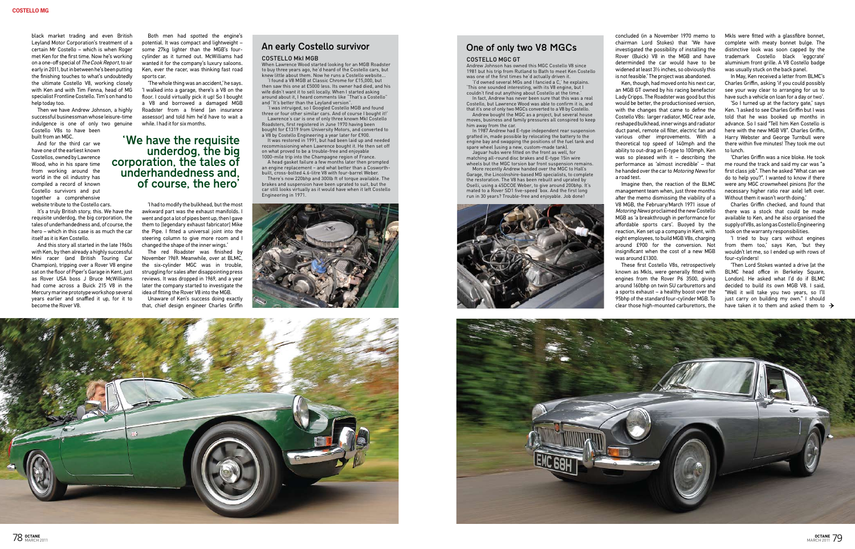#### costello MkI MGB

When Lawrence Wood started looking for an MGB Roadster to buy three years ago, he'd heard of the Costello cars, but knew little about them. Now he runs a Costello website... 'I found a V8 MGB at Classic Chrome for £15,000, but

then saw this one at £5000 less. Its owner had died, and his wife didn't want it to sell locally. When I started asking around about it, I heard comments like "That's a Costello" and "It's better than the Leyland version".

It was restored in 1991, but had been laid up and needed recommissioning when Lawrence bought it. He then set off on what proved to be a trouble-free and enjoyable 1000-mile trip into the Champagne region of France.

'I was intruiged, so I Googled Costello MGB and found three or four other similar cars. And of course I bought it!' Lawrence's car is one of only three known MkI Costello

Roadsters, first registered in June 1970 having been bought for £1319 from University Motors, and converted to a V8 by Costello Engineering a year later for £900.

moves, business and family pressures all conspired to keep him away from the car. In 1987 Andrew had E-type independent rear suspension

A head gasket failure a few months later then prompted an engine replacement – and what better than a Cosworthbuilt, cross-bolted 4.6-litre V8 with four-barrel Weber.

matching all-round disc brakes and E-type 15in wire wheels but the MGC torsion bar front suspension remains.

There's now 220bhp and 300lb ft of torque available. The brakes and suspension have been uprated to suit, but the car still looks virtually as it would have when it left Costello Engineering in 1971.





### An early Costello survivor

#### Costello MGC GT

Andrew Johnson has owned this MGC Costello V8 since 1981 but his trip from Rutland to Bath to meet Ken Costello was one of the first times he'd actually driven it. 'I'd owned several MGs and I fancied a C,' he explains.

'This one sounded interesting, with its V8 engine, but I couldn't find out anything about Costello at the time.' In fact, Andrew has never been sure that this was a real

Costello, but Lawrence Wood was able to confirm it is, and that it's one of only two MGCs converted to a V8 by Costello. Andrew bought the MGC as a project, but several house

grafted in, made possible by relocating the battery to the engine bay and swapping the positions of the fuel tank and spare wheel (using a new, custom-made tank). Jaguar hubs were fitted on the front as well, for

More recently Andrew handed over the MGC to Hall's Garage, the Lincolnshire-based MG specialists, to complete the restoration. The V8 has been rebuilt and uprated by Oselli, using a 45DCOE Weber, to give around 200bhp. It's mated to a Rover SD1 five-speed 'box. And the first long run in 30 years? Trouble-free and enjoyable. Job done!





78 OCTANE

## One of only two V8 MGCs

black market trading and even British Leyland Motor Corporation's treatment of a certain Mr Costello – which is when Roger met Ken for the first time. Now he's working on a one-off special of The Cook Report, to air early in 2011, but in between he's been putting the finishing touches to what's undoubtedly the ultimate Costello V8, working closely with Ken and with Tim Fenna, head of MG specialist Frontline Costello. Tim's on hand to help today too.

Then we have Andrew Johnson, a highly successful businessman whose leisure-time indulgence is one of only two genuine Costello V8s to have been built from an MGC.

And for the third car we have one of the earliest known Costellos, owned by Lawrence Wood, who in his spare time from working around the world in the oil industry has compiled a record of known Costello survivors and put together a comprehensive website tribute to the Costello cars.

It's a truly British story, this. We have the requisite underdog, the big corporation, the tales of underhandedness and, of course, the hero – which in this case is as much the car itself as it is Ken Costello.

And this story all started in the late 1960s with Ken, by then already a highly successful Mini racer (and British Touring Car Champion), tripping over a Rover V8 engine sat on the floor of Piper's Garage in Kent, just as Rover USA boss J Bruce McWilliams had come across a Buick 215 V8 in the Mercury marine prototype workshop several years earlier and snaffled it up, for it to become the Rover V8.

'Then Lord Stokes wanted a drive [at the BLMC head office in Berkeley Square, London]. He asked what I'd do if BLMC decided to build its own MGB V8. I said, "Well it will take you two years, so I'll just carry on building my own." I should have taken it to them and asked them to  $\rightarrow$ 

Both men had spotted the engine's potential. It was compact and lightweight – some 27kg lighter than the MGB's fourcylinder as it turned out. McWilliams had wanted it for the company's luxury saloons. Ken, ever the racer, was thinking fast road sports car.

'The whole thing was an accident,' he says. 'I walked into a garage, there's a V8 on the floor. I could virtually pick it up! So I bought a V8 and borrowed a damaged MGB Roadster from a friend [an insurance assessor] and told him he'd have to wait a while. I had it for six months.

'I had to modify the bulkhead, but the most awkward part was the exhaust manifolds. I went and got a lot of pipes bent up, then I gave them to [legendary exhaust fabricator] Mike the Pipe. I fitted a universal joint into the steering column to give more room and I changed the shape of the inner wings.'

The red Roadster was finished by November 1969. Meanwhile, over at BLMC, the six-cylinder MGC was in trouble, struggling for sales after disappointing press reviews. It was dropped in 1969, and a year later the company started to investigate the idea of fitting the Rover V8 into the MGB.

Unaware of Ken's success doing exactly that, chief design engineer Charles Griffin

## 'We have the requisite underdog, the big corporation, the tales of underhandedness and, of course, the hero'

concluded (in a November 1970 memo to chairman Lord Stokes) that 'We have investigated the possibility of installing the Rover (Buick) V8 in the MGB and have determinded the car would have to be widened at least 3½ inches, so obviously this is not feasible.' The project was abandoned.

Ken, though, had moved onto his next car, an MGB GT owned by his racing benefactor Lady Cripps. The Roadster was good but this would be better, the productionised version, with the changes that came to define the Costello V8s: larger radiator, MGC rear axle, reshaped bulkhead, inner wings and radiator duct panel, remote oil filter, electric fan and various other improvements. With a theoretical top speed of 140mph and the ability to out-drag an E-type to 100mph, Ken was so pleased with it  $-$  describing the performance as 'almost incredible' – that he handed over the car to Motoring News for a road test.

Imagine then, the reaction of the BLMC management team when, just three months after the memo dismissing the viability of a V8 MGB, the February/March 1971 issue of Motoring News proclaimed the new Costello MGB as 'a breakthrough in performance for affordable sports cars'. Buoyed by the reaction, Ken set up a company in Kent, with eight employees, to build MGB V8s, charging around £900 for the conversion. Not insignificant when the cost of a new MGB was around £1300.

These first Costello V8s, retrospectively known as MkIs, were generally fitted with engines from the Rover P6 3500, giving around 160bhp on twin SU carburettors and a sports exhaust – a healthy boost over the 95bhp of the standard four-cylinder MGB. To clear those high-mounted carburettors, the

MkIs were fitted with a glassfibre bonnet, complete with meaty bonnet bulge. The distinctive look was soon capped by the trademark Costello black 'eggcrate' aluminium front grille. A V8 Costello badge was usually stuck on the back panel.

In May, Ken received a letter from BLMC's Charles Griffin, asking 'if you could possibly see your way clear to arranging for us to have such a vehicle on loan for a day or two'.

'So I turned up at the factory gate,' says Ken. 'I asked to see Charles Griffin but I was told that he was booked up months in advance. So I said "Tell him Ken Costello is here with the new MGB V8". Charles Griffin, Harry Webster and George Turnbull were there within five minutes! They took me out to lunch.

'Charles Griffin was a nice bloke. He took me round the track and said my car was "a first class job". Then he asked "What can we do to help you?". I wanted to know if there were any MGC crownwheel pinions [for the necessary higher ratio rear axle] left over. Without them it wasn't worth doing.'

Charles Griffin checked, and found that there was a stock that could be made available to Ken, and he also organised the supply of V8s, as long as Costello Engineering took on the warranty responsibilities.

'I tried to buy cars without engines from them too,' says Ken, 'but they wouldn't let me, so I ended up with rows of four-cylinders!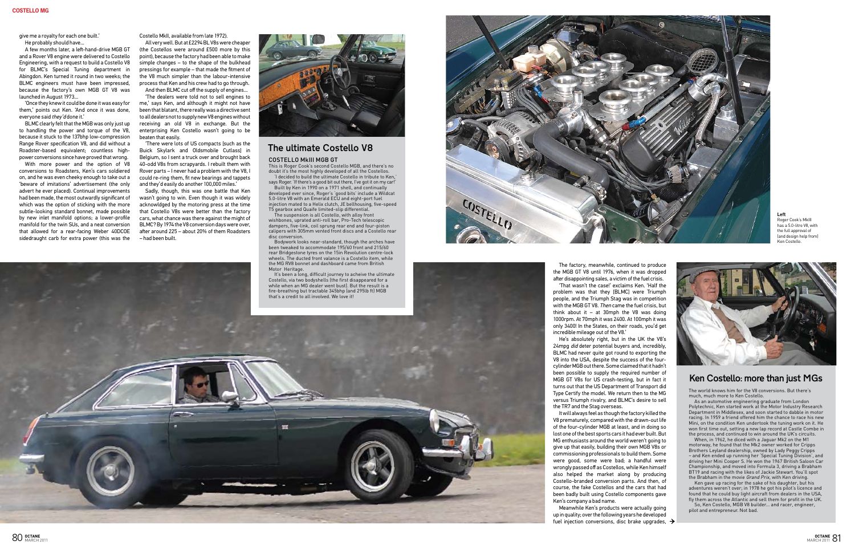give me a royalty for each one built.' He probably should have...

A few months later, a left-hand-drive MGB GT and a Rover V8 engine were delivered to Costello Engineering, with a request to build a Costello V8 for BLMC's Special Tuning department in Abingdon. Ken turned it round in two weeks; the BLMC engineers must have been impressed, because the factory's own MGB GT V8 was launched in August 1973...

'Once they knew it could be done it was easy for them,' points out Ken. 'And once it was done, everyone said they'd done it.'

BLMC clearly felt that the MGB was only just up to handling the power and torque of the V8, because it stuck to the 137bhp low-compression Range Rover specification V8, and did without a Roadster-based equivalent; countless highpower conversions since have proved that wrong.

With more power and the option of V8 conversions to Roadsters, Ken's cars soldiered on, and he was even cheeky enough to take out a 'beware of imitations' advertisement (the only advert he ever placed). Continual improvements had been made, the most outwardly significant of which was the option of sticking with the more subtle-looking standard bonnet, made possible by new inlet manifold options; a lower-profile manifold for the twin SUs, and a neat conversion that allowed for a rear-facing Weber 40DCOE sidedraught carb for extra power (this was the

Costello MkII, available from late 1972).

All very well. But at £2294 BL V8s were cheaper (the Costellos were around £500 more by this point), because the factory had been able to make simple changes – to the shape of the bulkhead pressings for example – that made the fitment of the V8 much simpler than the labour-intensive process that Ken and his crew had to go through. And then BLMC cut off the supply of engines...

'The dealers were told not to sell engines to me,' says Ken, and although it might not have been that blatant, there really was a directive sent to all dealers not to supply new V8 engines without receiving an old V8 in exchange. But the enterprising Ken Costello wasn't going to be beaten that easily.

'There were lots of US compacts [such as the Buick Skylark and Oldsmobile Cutlass] in Belgium, so I sent a truck over and brought back 40-odd V8s from scrapyards. I rebuilt them with Rover parts – I never had a problem with the V8, I could re-ring them, fit new bearings and tappets and they'd easily do another 100,000 miles.'

Sadly, though, this was one battle that Ken wasn't going to win. Even though it was widely acknowldged by the motoring press at the time that Costello V8s were better than the factory cars, what chance was there against the might of BLMC? By 1974 the V8 conversion days were over, after around 225 – about 20% of them Roadsters – had been built.



The world knows him for the V8 conversions. But there's much, much more to Ken Costello.

Meanwhile Ken's products were actually going up in quality; over the following years he developed fuel injection conversions, disc brake upgrades,  $\rightarrow$ 

As an automotive engineering graduate from London Polytechnic, Ken started work at the Motor Industry Research Department in Middlesex, and soon started to dabble in motor racing. In 1959 a friend offered him the chance to race his new Mini, on the condition Ken undertook the tuning work on it. He won first time out, setting a new lap record at Castle Combe in the process, and continued to win around the UK's circuits.

When, in 1962, he diced with a Jaguar Mk2 on the M1 motorway, he found that the Mk2 owner worked for Cripps Brothers Leyland dealership, owned by Lady Peggy Cripps – and Ken ended up running her 'Special Tuning Division', and driving her Mini Cooper S. He won the 1967 British Saloon Car Championship, and moved into Formula 3, driving a Brabham BT19 and racing with the likes of Jackie Stewart. You'll spot the Brabham in the movie Grand Prix, with Ken driving.

It's been a long, difficult journey to acheive the ultimate Costello, via two bodyshells (the first disappeared for a while when an MG dealer went bust). But the result is a



Ken gave up racing for the sake of his daughter, but his adventures weren't over; in 1978 he got his pilot's licence and found that he could buy light aircraft from dealers in the USA, fly them across the Atlantic and sell them for profit in the UK. So, Ken Costello, MGB V8 builder... and racer, engineer,

pilot and entrepreneur. Not bad.

The factory, meanwhile, continued to produce the MGB GT V8 until 1976, when it was dropped after disappointing sales, a victim of the fuel crisis.

'That wasn't the case!' exclaims Ken. 'Half the problem was that they [BLMC] were Triumph people, and the Triumph Stag was in competition with the MGB GT V8. Then came the fuel crisis, but think about it  $-$  at 30mph the V8 was doing 1000rpm. At 70mph it was 2400. At 100mph it was only 3400! In the States, on their roads, you'd get incredible mileage out of the V8.'

He's absolutely right, but in the UK the V8's 24mpg *did* deter potential buyers and, incredibly, BLMC had never quite got round to exporting the V8 into the USA, despite the success of the fourcylinder MGB out there. Some claimed that it hadn't been possible to supply the required number of MGB GT V8s for US crash-testing, but in fact it turns out that the US Department of Transport did Type Certify the model. We return then to the MG versus Triumph rivalry, and BLMC's desire to sell the TR7 and the Stag overseas.

It will always feel as though the factory killed the V8 prematurely, compared with the drawn-out life of the four-cylinder MGB at least, and in doing so lost one of the best sports cars it had ever built. But MG enthusiasts around the world weren't going to give up that easily, building their own MGB V8s or commissioning professionals to build them. Some were good, some were bad; a handful were wrongly passed off as Costellos, while Ken himself also helped the market along by producing Costello-branded conversion parts. And then, of course, the fake Costellos and the cars that had been badly built using Costello components gave Ken's company a bad name.

This is Roger Cook's second Costello MGB, and there's no doubt it's the most highly developed of all the Costellos. 'I decided to build the ultimate Costello in tribute to Ken,'

says Roger. 'If there's a good bit out there, I've got it on my car!' Built by Ken in 1990 on a 1971 shell, and continually developed ever since, Roger's 'good bits' include a Wildcat 5.0-litre V8 with an Emerald ECU and eight-port fuel injection mated to a Helix clutch, JE bellhousing, five-speed T5 gearbox and Quaife limited-slip differential.

The suspension is all Costello, with alloy front wishbones, uprated anti-roll bar, Pro-Tech telescopic dampers, five-link, coil sprung rear end and four-piston calipers with 305mm vented front discs and a Costello rear disc conversion.

Bodywork looks near-standard, though the arches have been tweaked to accommodate 195/60 front and 215/60 rear Bridgestone tyres on the 15in Revolution centre-lock wheels. The ducted front valance is a Costello item, while the MG RV8 bonnet and dashboard came from British Motor Heritage.



## The ultimate Costello V8

#### COSTELLO MkIII MGB GT

## Ken Costello: more than just MGs

**Left** Roger Cook's MkIII has a 5.0-litre V8, with the full approval of (and design help from) Ken Costello.